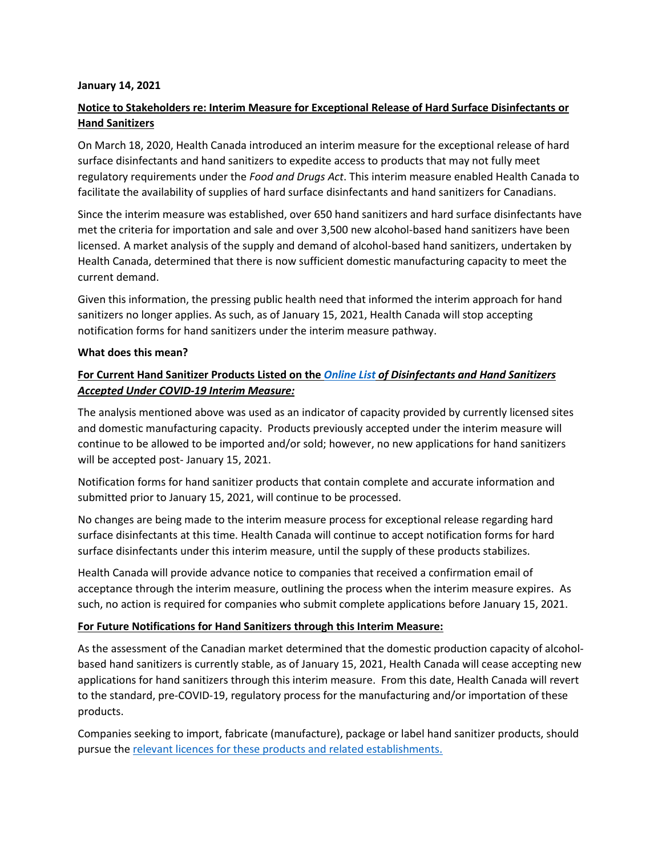#### **January 14, 2021**

# **Notice to Stakeholders re: Interim Measure for Exceptional Release of Hard Surface Disinfectants or Hand Sanitizers**

On March 18, 2020, Health Canada introduced an interim measure for the exceptional release of hard surface disinfectants and hand sanitizers to expedite access to products that may not fully meet regulatory requirements under the *Food and Drugs Act*. This interim measure enabled Health Canada to facilitate the availability of supplies of hard surface disinfectants and hand sanitizers for Canadians.

Since the interim measure was established, over 650 hand sanitizers and hard surface disinfectants have met the criteria for importation and sale and over 3,500 new alcohol-based hand sanitizers have been licensed. A market analysis of the supply and demand of alcohol-based hand sanitizers, undertaken by Health Canada, determined that there is now sufficient domestic manufacturing capacity to meet the current demand.

Given this information, the pressing public health need that informed the interim approach for hand sanitizers no longer applies. As such, as of January 15, 2021, Health Canada will stop accepting notification forms for hand sanitizers under the interim measure pathway.

#### **What does this mean?**

## **For Current Hand Sanitizer Products Listed on the** *[Online List](https://www.canada.ca/en/health-canada/services/drugs-health-products/disinfectants/covid-19/products-accepted-under-interim-measure.html) of Disinfectants and Hand Sanitizers Accepted Under COVID-19 Interim Measure:*

The analysis mentioned above was used as an indicator of capacity provided by currently licensed sites and domestic manufacturing capacity. Products previously accepted under the interim measure will continue to be allowed to be imported and/or sold; however, no new applications for hand sanitizers will be accepted post- January 15, 2021.

Notification forms for hand sanitizer products that contain complete and accurate information and submitted prior to January 15, 2021, will continue to be processed.

No changes are being made to the interim measure process for exceptional release regarding hard surface disinfectants at this time. Health Canada will continue to accept notification forms for hard surface disinfectants under this interim measure, until the supply of these products stabilizes.

Health Canada will provide advance notice to companies that received a confirmation email of acceptance through the interim measure, outlining the process when the interim measure expires. As such, no action is required for companies who submit complete applications before January 15, 2021.

### **For Future Notifications for Hand Sanitizers through this Interim Measure:**

As the assessment of the Canadian market determined that the domestic production capacity of alcoholbased hand sanitizers is currently stable, as of January 15, 2021, Health Canada will cease accepting new applications for hand sanitizers through this interim measure. From this date, Health Canada will revert to the standard, pre-COVID-19, regulatory process for the manufacturing and/or importation of these products.

Companies seeking to import, fabricate (manufacture), package or label hand sanitizer products, should pursue the [relevant licences for these products and related establishments.](https://www.canada.ca/en/health-canada/services/drugs-health-products/drug-products/applications-submissions/guidance-documents/covid-19-expediated-licensing-alcohol-hand-sanitizer.html)